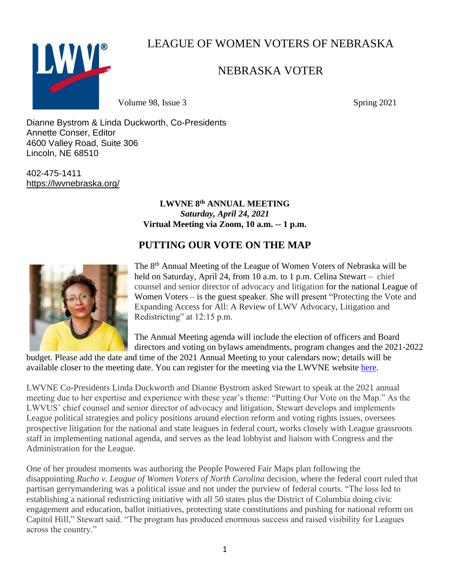LWVL

LEAGUE OF WOMEN VOTERS OF NEBRASKA

# NEBRASKA VOTER

Volume 98, Issue 3 Spring 2021

Dianne Bystrom & Linda Duckworth, Co-Presidents Annette Conser, Editor 4600 Valley Road, Suite 306 Lincoln, NE 68510

402-475-1411 <https://lwvnebraska.org/>

## **LWVNE 8th ANNUAL MEETING** *Saturday, April 24, 2021* **Virtual Meeting via Zoom, 10 a.m. -- 1 p.m.**

# **PUTTING OUR VOTE ON THE MAP**



The 8<sup>th</sup> Annual Meeting of the League of Women Voters of Nebraska will be held on Saturday, April 24, from 10 a.m. to 1 p.m. Celina Stewart – chief counsel and senior director of advocacy and litigation for the national League of Women Voters – is the guest speaker. She will present "Protecting the Vote and Expanding Access for All: A Review of LWV Advocacy, Litigation and Redistricting" at 12:15 p.m.

The Annual Meeting agenda will include the election of officers and Board directors and voting on bylaws amendments, program changes and the 2021-2022

budget. Please add the date and time of the 2021 Annual Meeting to your calendars now; details will be available closer to the meeting date. You can register for the meeting via the LWVNE website [here.](https://us02web.zoom.us/meeting/register/tZYtcu2hqzosHNX-7XakxEn4ljtHeHiIk-dJ)

LWVNE Co-Presidents Linda Duckworth and Dianne Bystrom asked Stewart to speak at the 2021 annual meeting due to her expertise and experience with these year's theme: "Putting Our Vote on the Map." As the LWVUS' chief counsel and senior director of advocacy and litigation, Stewart develops and implements League political strategies and policy positions around election reform and voting rights issues, oversees prospective litigation for the national and state leagues in federal court, works closely with League grassroots staff in implementing national agenda, and serves as the lead lobbyist and liaison with Congress and the Administration for the League.

One of her proudest moments was authoring the People Powered Fair Maps plan following the disappointing *Rucho v. League of Women Voters of North Carolina* decision*,* where the federal court ruled that partisan gerrymandering was a political issue and not under the purview of federal courts. "The loss led to establishing a national redistricting initiative with all 50 states plus the District of Columbia doing civic engagement and education, ballot initiatives, protecting state constitutions and pushing for national reform on Capitol Hill," Stewart said. "The program has produced enormous success and raised visibility for Leagues across the country."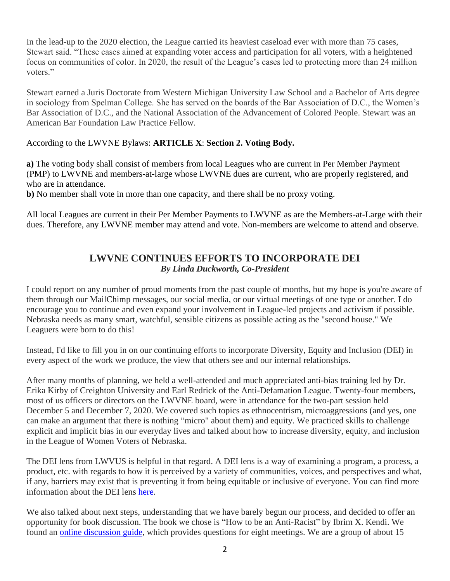In the lead-up to the 2020 election, the League carried its heaviest caseload ever with more than 75 cases, Stewart said. "These cases aimed at expanding voter access and participation for all voters, with a heightened focus on communities of color. In 2020, the result of the League's cases led to protecting more than 24 million voters."

Stewart earned a Juris Doctorate from Western Michigan University Law School and a Bachelor of Arts degree in sociology from Spelman College. She has served on the boards of the Bar Association of D.C., the Women's Bar Association of D.C., and the National Association of the Advancement of Colored People. Stewart was an American Bar Foundation Law Practice Fellow.

#### According to the LWVNE Bylaws: **ARTICLE X**: **Section 2. Voting Body.**

**a)** The voting body shall consist of members from local Leagues who are current in Per Member Payment (PMP) to LWVNE and members-at-large whose LWVNE dues are current, who are properly registered, and who are in attendance.

**b)** No member shall vote in more than one capacity, and there shall be no proxy voting.

All local Leagues are current in their Per Member Payments to LWVNE as are the Members-at-Large with their dues. Therefore, any LWVNE member may attend and vote. Non-members are welcome to attend and observe.

## **LWVNE CONTINUES EFFORTS TO INCORPORATE DEI** *By Linda Duckworth, Co-President*

I could report on any number of proud moments from the past couple of months, but my hope is you're aware of them through our MailChimp messages, our social media, or our virtual meetings of one type or another. I do encourage you to continue and even expand your involvement in League-led projects and activism if possible. Nebraska needs as many smart, watchful, sensible citizens as possible acting as the "second house." We Leaguers were born to do this!

Instead, I'd like to fill you in on our continuing efforts to incorporate Diversity, Equity and Inclusion (DEI) in every aspect of the work we produce, the view that others see and our internal relationships.

After many months of planning, we held a well-attended and much appreciated anti-bias training led by Dr. Erika Kirby of Creighton University and Earl Redrick of the Anti-Defamation League. Twenty-four members, most of us officers or directors on the LWVNE board, were in attendance for the two-part session held December 5 and December 7, 2020. We covered such topics as ethnocentrism, microaggressions (and yes, one can make an argument that there is nothing "micro" about them) and equity. We practiced skills to challenge explicit and implicit bias in our everyday lives and talked about how to increase diversity, equity, and inclusion in the League of Women Voters of Nebraska.

The DEI lens from LWVUS is helpful in that regard. A DEI lens is a way of examining a program, a process, a product, etc. with regards to how it is perceived by a variety of communities, voices, and perspectives and what, if any, barriers may exist that is preventing it from being equitable or inclusive of everyone. You can find more information about the DEI lens [here.](https://www.lwv.org/sites/default/files/2019-06/deilens.pdf)

We also talked about next steps, understanding that we have barely begun our process, and decided to offer an opportunity for book discussion. The book we chose is "How to be an Anti-Racist" by Ibrim X. Kendi. We found an [online discussion guide,](https://medium.com/@ekv/how-to-be-an-antiracist-an-8-week-book-study-54ed589c707a) which provides questions for eight meetings. We are a group of about 15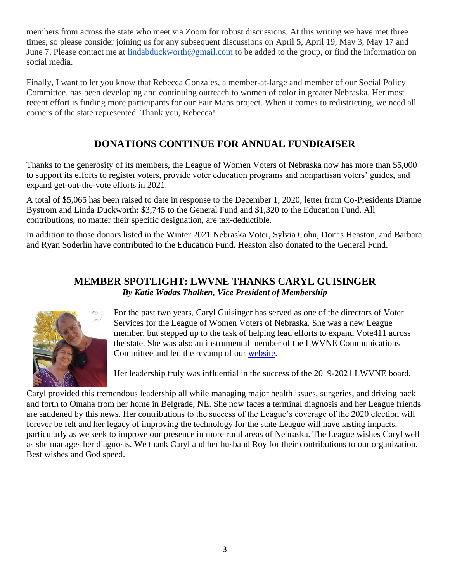members from across the state who meet via Zoom for robust discussions. At this writing we have met three times, so please consider joining us for any subsequent discussions on April 5, April 19, May 3, May 17 and June 7. Please contact me at [lindabduckworth@gmail.com](mailto:lindabduckworth@gmail.com) to be added to the group, or find the information on social media.

Finally, I want to let you know that Rebecca Gonzales, a member-at-large and member of our Social Policy Committee, has been developing and continuing outreach to women of color in greater Nebraska. Her most recent effort is finding more participants for our Fair Maps project. When it comes to redistricting, we need all corners of the state represented. Thank you, Rebecca!

# **DONATIONS CONTINUE FOR ANNUAL FUNDRAISER**

Thanks to the generosity of its members, the League of Women Voters of Nebraska now has more than \$5,000 to support its efforts to register voters, provide voter education programs and nonpartisan voters' guides, and expand get-out-the-vote efforts in 2021.

A total of \$5,065 has been raised to date in response to the December 1, 2020, letter from Co-Presidents Dianne Bystrom and Linda Duckworth: \$3,745 to the General Fund and \$1,320 to the Education Fund. All contributions, no matter their specific designation, are tax-deductible.

In addition to those donors listed in the Winter 2021 Nebraska Voter, Sylvia Cohn, Dorris Heaston, and Barbara and Ryan Soderlin have contributed to the Education Fund. Heaston also donated to the General Fund.

# **MEMBER SPOTLIGHT: LWVNE THANKS CARYL GUISINGER** *By Katie Wadas Thalken, Vice President of Membership*



For the past two years, Caryl Guisinger has served as one of the directors of Voter Services for the League of Women Voters of Nebraska. She was a new League member, but stepped up to the task of helping lead efforts to expand Vote411 across the state. She was also an instrumental member of the LWVNE Communications Committee and led the revamp of our [website.](https://lwvnebraska.org/)

Her leadership truly was influential in the success of the 2019-2021 LWVNE board.

Caryl provided this tremendous leadership all while managing major health issues, surgeries, and driving back and forth to Omaha from her home in Belgrade, NE. She now faces a terminal diagnosis and her League friends are saddened by this news. Her contributions to the success of the League's coverage of the 2020 election will forever be felt and her legacy of improving the technology for the state League will have lasting impacts, particularly as we seek to improve our presence in more rural areas of Nebraska. The League wishes Caryl well as she manages her diagnosis. We thank Caryl and her husband Roy for their contributions to our organization. Best wishes and God speed.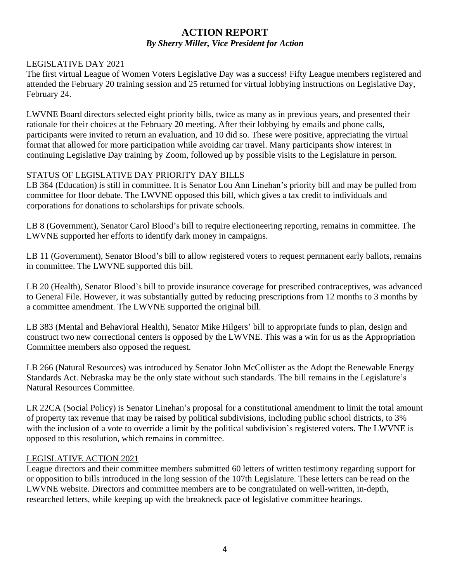#### **ACTION REPORT** *By Sherry Miller, Vice President for Action*

#### LEGISLATIVE DAY 2021

The first virtual League of Women Voters Legislative Day was a success! Fifty League members registered and attended the February 20 training session and 25 returned for virtual lobbying instructions on Legislative Day, February 24.

LWVNE Board directors selected eight priority bills, twice as many as in previous years, and presented their rationale for their choices at the February 20 meeting. After their lobbying by emails and phone calls, participants were invited to return an evaluation, and 10 did so. These were positive, appreciating the virtual format that allowed for more participation while avoiding car travel. Many participants show interest in continuing Legislative Day training by Zoom, followed up by possible visits to the Legislature in person.

#### STATUS OF LEGISLATIVE DAY PRIORITY DAY BILLS

LB 364 (Education) is still in committee. It is Senator Lou Ann Linehan's priority bill and may be pulled from committee for floor debate. The LWVNE opposed this bill, which gives a tax credit to individuals and corporations for donations to scholarships for private schools.

LB 8 (Government), Senator Carol Blood's bill to require electioneering reporting, remains in committee. The LWVNE supported her efforts to identify dark money in campaigns.

LB 11 (Government), Senator Blood's bill to allow registered voters to request permanent early ballots, remains in committee. The LWVNE supported this bill.

LB 20 (Health), Senator Blood's bill to provide insurance coverage for prescribed contraceptives, was advanced to General File. However, it was substantially gutted by reducing prescriptions from 12 months to 3 months by a committee amendment. The LWVNE supported the original bill.

LB 383 (Mental and Behavioral Health), Senator Mike Hilgers' bill to appropriate funds to plan, design and construct two new correctional centers is opposed by the LWVNE. This was a win for us as the Appropriation Committee members also opposed the request.

LB 266 (Natural Resources) was introduced by Senator John McCollister as the Adopt the Renewable Energy Standards Act. Nebraska may be the only state without such standards. The bill remains in the Legislature's Natural Resources Committee.

LR 22CA (Social Policy) is Senator Linehan's proposal for a constitutional amendment to limit the total amount of property tax revenue that may be raised by political subdivisions, including public school districts, to 3% with the inclusion of a vote to override a limit by the political subdivision's registered voters. The LWVNE is opposed to this resolution, which remains in committee.

#### LEGISLATIVE ACTION 2021

League directors and their committee members submitted 60 letters of written testimony regarding support for or opposition to bills introduced in the long session of the 107th Legislature. These letters can be read on the LWVNE website. Directors and committee members are to be congratulated on well-written, in-depth, researched letters, while keeping up with the breakneck pace of legislative committee hearings.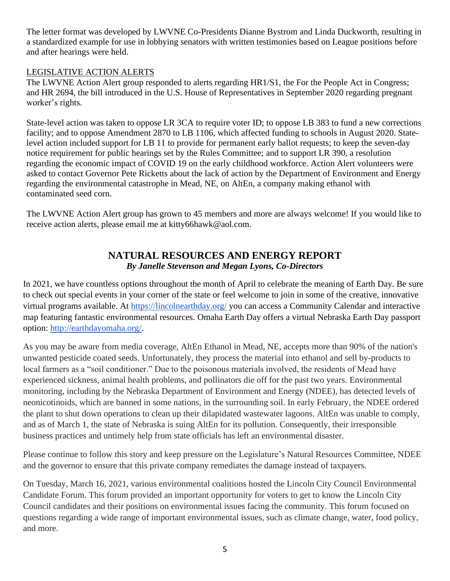The letter format was developed by LWVNE Co-Presidents Dianne Bystrom and Linda Duckworth, resulting in a standardized example for use in lobbying senators with written testimonies based on League positions before and after hearings were held.

#### LEGISLATIVE ACTION ALERTS

The LWVNE Action Alert group responded to alerts regarding HR1/S1, the For the People Act in Congress; and HR 2694, the bill introduced in the U.S. House of Representatives in September 2020 regarding pregnant worker's rights.

State-level action was taken to oppose LR 3CA to require voter ID; to oppose LB 383 to fund a new corrections facility; and to oppose Amendment 2870 to LB 1106, which affected funding to schools in August 2020. Statelevel action included support for LB 11 to provide for permanent early ballot requests; to keep the seven-day notice requirement for public hearings set by the Rules Committee; and to support LR 390, a resolution regarding the economic impact of COVID 19 on the early childhood workforce. Action Alert volunteers were asked to contact Governor Pete Ricketts about the lack of action by the Department of Environment and Energy regarding the environmental catastrophe in Mead, NE, on AltEn, a company making ethanol with contaminated seed corn.

The LWVNE Action Alert group has grown to 45 members and more are always welcome! If you would like to receive action alerts, please email me at kitty66hawk@aol.com.

# **NATURAL RESOURCES AND ENERGY REPORT** *By Janelle Stevenson and Megan Lyons, Co-Directors*

In 2021, we have countless options throughout the month of April to celebrate the meaning of Earth Day. Be sure to check out special events in your corner of the state or feel welcome to join in some of the creative, innovative virtual programs available. At<https://lincolnearthday.org/> you can access a Community Calendar and interactive map featuring fantastic environmental resources. Omaha Earth Day offers a virtual Nebraska Earth Day passport option: [http://earthdayomaha.org/.](http://earthdayomaha.org/)

As you may be aware from media coverage, AltEn Ethanol in Mead, NE, accepts more than 90% of the nation's unwanted pesticide coated seeds. Unfortunately, they process the material into ethanol and sell by-products to local farmers as a "soil conditioner." Due to the poisonous materials involved, the residents of Mead have experienced sickness, animal health problems, and pollinators die off for the past two years. Environmental monitoring, including by the Nebraska Department of Environment and Energy (NDEE), has detected levels of neonicotinoids, which are banned in some nations, in the surrounding soil. In early February, the NDEE ordered the plant to shut down operations to clean up their dilapidated wastewater lagoons. AltEn was unable to comply, and as of March 1, the state of Nebraska is suing AltEn for its pollution. Consequently, their irresponsible business practices and untimely help from state officials has left an environmental disaster.

Please continue to follow this story and keep pressure on the Legislature's Natural Resources Committee, NDEE and the governor to ensure that this private company remediates the damage instead of taxpayers.

On Tuesday, March 16, 2021, various environmental coalitions hosted the Lincoln City Council Environmental Candidate Forum. This forum provided an important opportunity for voters to get to know the Lincoln City Council candidates and their positions on environmental issues facing the community. This forum focused on questions regarding a wide range of important environmental issues, such as climate change, water, food policy, and more.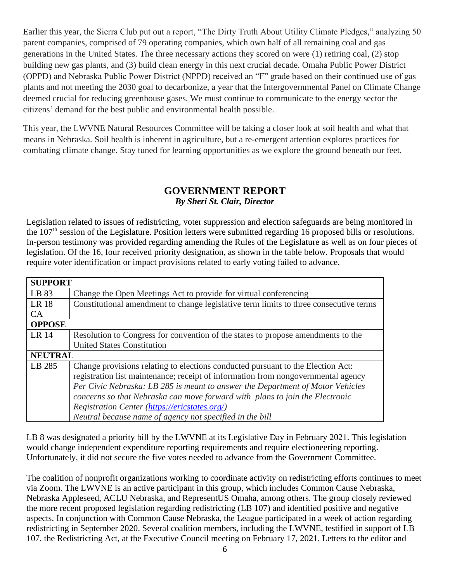Earlier this year, the Sierra Club put out a report, "The Dirty Truth About Utility Climate Pledges," analyzing 50 parent companies, comprised of 79 operating companies, which own half of all remaining coal and gas generations in the United States. The three necessary actions they scored on were (1) retiring coal, (2) stop building new gas plants, and (3) build clean energy in this next crucial decade. Omaha Public Power District (OPPD) and Nebraska Public Power District (NPPD) received an "F" grade based on their continued use of gas plants and not meeting the 2030 goal to decarbonize, a year that the Intergovernmental Panel on Climate Change deemed crucial for reducing greenhouse gases. We must continue to communicate to the energy sector the citizens' demand for the best public and environmental health possible.

This year, the LWVNE Natural Resources Committee will be taking a closer look at soil health and what that means in Nebraska. Soil health is inherent in agriculture, but a re-emergent attention explores practices for combating climate change. Stay tuned for learning opportunities as we explore the ground beneath our feet.

#### **GOVERNMENT REPORT** *By Sheri St. Clair, Director*

Legislation related to issues of redistricting, voter suppression and election safeguards are being monitored in the 107<sup>th</sup> session of the Legislature. Position letters were submitted regarding 16 proposed bills or resolutions. In-person testimony was provided regarding amending the Rules of the Legislature as well as on four pieces of legislation. Of the 16, four received priority designation, as shown in the table below. Proposals that would require voter identification or impact provisions related to early voting failed to advance.

| <b>SUPPORT</b> |                                                                                       |
|----------------|---------------------------------------------------------------------------------------|
| LB 83          | Change the Open Meetings Act to provide for virtual conferencing                      |
| LR 18          | Constitutional amendment to change legislative term limits to three consecutive terms |
| CA             |                                                                                       |
| <b>OPPOSE</b>  |                                                                                       |
| LR 14          | Resolution to Congress for convention of the states to propose amendments to the      |
|                | <b>United States Constitution</b>                                                     |
| <b>NEUTRAL</b> |                                                                                       |
| LB 285         | Change provisions relating to elections conducted pursuant to the Election Act:       |
|                | registration list maintenance; receipt of information from nongovernmental agency     |
|                | Per Civic Nebraska: LB 285 is meant to answer the Department of Motor Vehicles        |
|                | concerns so that Nebraska can move forward with plans to join the Electronic          |
|                | Registration Center (https://ericstates.org/)                                         |
|                | Neutral because name of agency not specified in the bill                              |

LB 8 was designated a priority bill by the LWVNE at its Legislative Day in February 2021. This legislation would change independent expenditure reporting requirements and require electioneering reporting. Unfortunately, it did not secure the five votes needed to advance from the Government Committee.

The coalition of nonprofit organizations working to coordinate activity on redistricting efforts continues to meet via Zoom. The LWVNE is an active participant in this group, which includes Common Cause Nebraska, Nebraska Appleseed, ACLU Nebraska, and RepresentUS Omaha, among others. The group closely reviewed the more recent proposed legislation regarding redistricting (LB 107) and identified positive and negative aspects. In conjunction with Common Cause Nebraska, the League participated in a week of action regarding redistricting in September 2020. Several coalition members, including the LWVNE, testified in support of LB 107, the Redistricting Act, at the Executive Council meeting on February 17, 2021. Letters to the editor and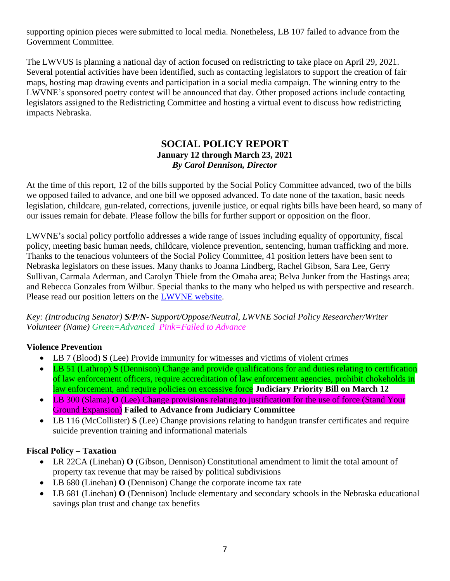supporting opinion pieces were submitted to local media. Nonetheless, LB 107 failed to advance from the Government Committee.

The LWVUS is planning a national day of action focused on redistricting to take place on April 29, 2021. Several potential activities have been identified, such as contacting legislators to support the creation of fair maps, hosting map drawing events and participation in a social media campaign. The winning entry to the LWVNE's sponsored poetry contest will be announced that day. Other proposed actions include contacting legislators assigned to the Redistricting Committee and hosting a virtual event to discuss how redistricting impacts Nebraska.

#### **SOCIAL POLICY REPORT January 12 through March 23, 2021** *By Carol Dennison, Director*

At the time of this report, 12 of the bills supported by the Social Policy Committee advanced, two of the bills we opposed failed to advance, and one bill we opposed advanced. To date none of the taxation, basic needs legislation, childcare, gun-related, corrections, juvenile justice, or equal rights bills have been heard, so many of our issues remain for debate. Please follow the bills for further support or opposition on the floor.

LWVNE's social policy portfolio addresses a wide range of issues including equality of opportunity, fiscal policy, meeting basic human needs, childcare, violence prevention, sentencing, human trafficking and more. Thanks to the tenacious volunteers of the Social Policy Committee, 41 position letters have been sent to Nebraska legislators on these issues. Many thanks to Joanna Lindberg, Rachel Gibson, Sara Lee, Gerry Sullivan, Carmala Aderman, and Carolyn Thiele from the Omaha area; Belva Junker from the Hastings area; and Rebecca Gonzales from Wilbur. Special thanks to the many who helped us with perspective and research. Please read our position letters on the [LWVNE website.](https://lwvnebraska.org/letters-to-committees-and-officials-2021/)

*Key: (Introducing Senator) S/P/N- Support/Oppose/Neutral, LWVNE Social Policy Researcher/Writer Volunteer (Name) Green=Advanced Pink=Failed to Advance*

## **Violence Prevention**

- LB 7 (Blood) **S** (Lee) Provide immunity for witnesses and victims of violent crimes
- LB 51 (Lathrop) **S** (Dennison) Change and provide qualifications for and duties relating to certification of law enforcement officers, require accreditation of law enforcement agencies, prohibit chokeholds in law enforcement, and require policies on excessive force **Judiciary Priority Bill on March 12**
- LB 300 (Slama) **O** (Lee) Change provisions relating to justification for the use of force (Stand Your Ground Expansion) **Failed to Advance from Judiciary Committee**
- LB 116 (McCollister) **S** (Lee) Change provisions relating to handgun transfer certificates and require suicide prevention training and informational materials

#### **Fiscal Policy – Taxation**

- LR 22CA (Linehan) **O** (Gibson, Dennison) Constitutional amendment to limit the total amount of property tax revenue that may be raised by political subdivisions
- LB 680 (Linehan) **O** (Dennison) Change the corporate income tax rate
- LB 681 (Linehan) **O** (Dennison) Include elementary and secondary schools in the Nebraska educational savings plan trust and change tax benefits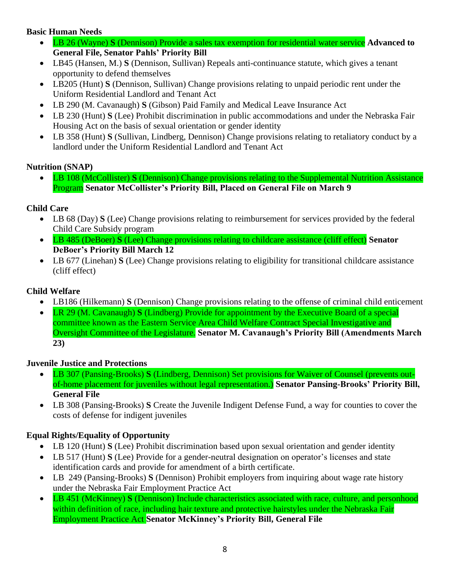## **Basic Human Needs**

- LB 26 (Wayne) **S** (Dennison) Provide a sales tax exemption for residential water service **Advanced to General File, Senator Pahls' Priority Bill**
- LB45 (Hansen, M.) **S** (Dennison, Sullivan) Repeals anti-continuance statute, which gives a tenant opportunity to defend themselves
- LB205 (Hunt) **S** (Dennison, Sullivan) Change provisions relating to unpaid periodic rent under the Uniform Residential Landlord and Tenant Act
- LB 290 (M. Cavanaugh) **S** (Gibson) Paid Family and Medical Leave Insurance Act
- LB 230 (Hunt) **S** (Lee) Prohibit discrimination in public accommodations and under the Nebraska Fair Housing Act on the basis of sexual orientation or gender identity
- LB 358 (Hunt) **S** (Sullivan, Lindberg, Dennison) Change provisions relating to retaliatory conduct by a landlord under the Uniform Residential Landlord and Tenant Act

## **Nutrition (SNAP)**

• LB 108 (McCollister) **S** (Dennison) Change provisions relating to the Supplemental Nutrition Assistance Program **Senator McCollister's Priority Bill, Placed on General File on March 9**

## **Child Care**

- LB 68 (Day) **S** (Lee) Change provisions relating to reimbursement for services provided by the federal Child Care Subsidy program
- LB 485 (DeBoer) **S** (Lee) Change provisions relating to childcare assistance (cliff effect) **Senator DeBoer's Priority Bill March 12**
- LB 677 (Linehan) **S** (Lee) Change provisions relating to eligibility for transitional childcare assistance (cliff effect)

## **Child Welfare**

- LB186 (Hilkemann) **S** (Dennison) Change provisions relating to the offense of criminal child enticement
- LR 29 (M. Cavanaugh) **S** (Lindberg) Provide for appointment by the Executive Board of a special committee known as the Eastern Service Area Child Welfare Contract Special Investigative and Oversight Committee of the Legislature. **Senator M. Cavanaugh's Priority Bill (Amendments March 23)**

## **Juvenile Justice and Protections**

- LB 307 (Pansing-Brooks) **S** (Lindberg, Dennison) Set provisions for Waiver of Counsel (prevents outof-home placement for juveniles without legal representation.) **Senator Pansing-Brooks' Priority Bill, General File**
- LB 308 (Pansing-Brooks) **S** Create the Juvenile Indigent Defense Fund, a way for counties to cover the costs of defense for indigent juveniles

# **Equal Rights/Equality of Opportunity**

- LB 120 (Hunt) **S** (Lee) Prohibit discrimination based upon sexual orientation and gender identity
- LB 517 (Hunt) **S** (Lee) Provide for a gender-neutral designation on operator's licenses and state identification cards and provide for amendment of a birth certificate.
- LB 249 (Pansing-Brooks) **S** (Dennison) Prohibit employers from inquiring about wage rate history under the Nebraska Fair Employment Practice Act
- LB 451 (McKinney) **S** (Dennison) Include characteristics associated with race, culture, and personhood within definition of race, including hair texture and protective hairstyles under the Nebraska Fair Employment Practice Act **Senator McKinney's Priority Bill, General File**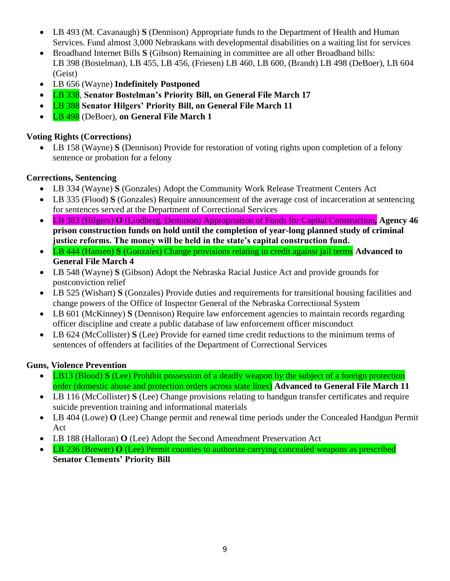- LB 493 (M. Cavanaugh) **S** (Dennison) Appropriate funds to the Department of Health and Human Services. Fund almost 3,000 Nebraskans with developmental disabilities on a waiting list for services
- Broadband Internet Bills **S** (Gibson) Remaining in committee are all other Broadband bills: LB 398 (Bostelman), LB 455, LB 456, (Friesen) LB 460, LB 600, (Brandt) LB 498 (DeBoer), LB 604 (Geist)
- LB 656 (Wayne) **Indefinitely Postponed**
- LB 338, **Senator Bostelman's Priority Bill, on General File March 17**
- LB 388 **Senator Hilgers' Priority Bill, on General File March 11**
- LB 498 (DeBoer), **on General File March 1**

## **Voting Rights (Corrections)**

• LB 158 (Wayne) **S** (Dennison) Provide for restoration of voting rights upon completion of a felony sentence or probation for a felony

## **Corrections, Sentencing**

- LB 334 (Wayne) **S** (Gonzales) Adopt the Community Work Release Treatment Centers Act
- LB 335 (Flood) **S** (Gonzales) Require announcement of the average cost of incarceration at sentencing for sentences served at the Department of Correctional Services
- LB 383 (Hilgers) **O** (Lindberg, Dennison) Appropriation of Funds for Capital Construction*,* **Agency 46 prison construction funds on hold until the completion of year-long planned study of criminal justice reforms. The money will be held in the state's capital construction fund.**
- LB 444 (Hansen) **S** (Gonzales) Change provisions relating to credit against jail terms **Advanced to General File March 4**
- LB 548 (Wayne) **S** (Gibson) Adopt the Nebraska Racial Justice Act and provide grounds for postconviction relief
- LB 525 (Wishart) **S** (Gonzales) Provide duties and requirements for transitional housing facilities and change powers of the Office of Inspector General of the Nebraska Correctional System
- LB 601 (McKinney) **S** (Dennison) Require law enforcement agencies to maintain records regarding officer discipline and create a public database of law enforcement officer misconduct
- LB 624 (McCollister) **S** (Lee) Provide for earned time credit reductions to the minimum terms of sentences of offenders at facilities of the Department of Correctional Services

## **Guns, Violence Prevention**

- LB13 (Blood) **S** (Lee) Prohibit possession of a deadly weapon by the subject of a foreign protection order (domestic abuse and protection orders across state lines) **Advanced to General File March 11**
- LB 116 (McCollister) **S** (Lee) Change provisions relating to handgun transfer certificates and require suicide prevention training and informational materials
- LB 404 (Lowe) **O** (Lee) Change permit and renewal time periods under the Concealed Handgun Permit Act
- LB 188 (Halloran) **O** (Lee) Adopt the Second Amendment Preservation Act
- LB 236 (Brewer) **O** (Lee) Permit counties to authorize carrying concealed weapons as prescribed **Senator Clements' Priority Bill**